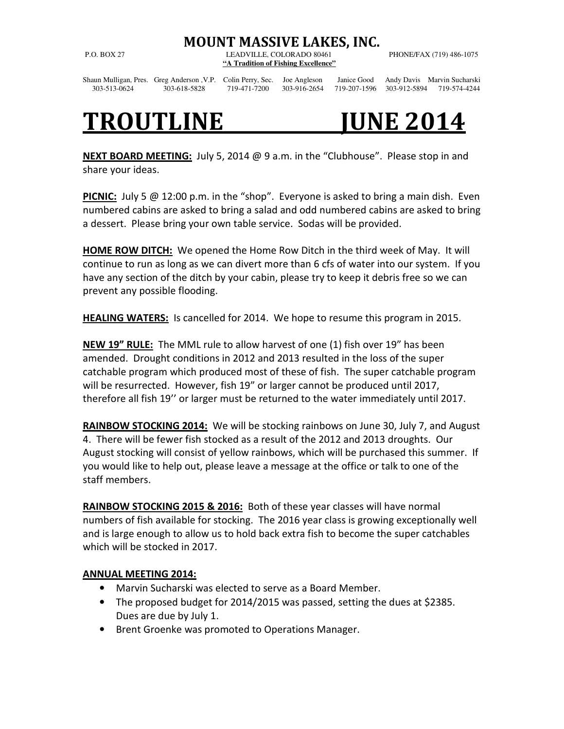## MOUNT MASSIVE LAKES, INC.

P.O. BOX 27 LEADVILLE, COLORADO 80461 PHONE/FAX (719) 486-1075 **"A Tradition of Fishing Excellence"**

Shaun Mulligan, Pres. Greg Anderson ,V.P. Colin Perry, Sec. Joe Angleson Janice Good Andy Davis Marvin Sucharski 303-513-0624 303-618-5828 719-471-7200 303-916-2654 719-207-1596 303-912-5894 719-574-4244

## TROUTLINE JUNE 2014

**NEXT BOARD MEETING:** July 5, 2014  $\omega$  9 a.m. in the "Clubhouse". Please stop in and share your ideas.

**PICNIC:** July 5  $\omega$  12:00 p.m. in the "shop". Everyone is asked to bring a main dish. Even numbered cabins are asked to bring a salad and odd numbered cabins are asked to bring a dessert. Please bring your own table service. Sodas will be provided.

HOME ROW DITCH: We opened the Home Row Ditch in the third week of May. It will continue to run as long as we can divert more than 6 cfs of water into our system. If you have any section of the ditch by your cabin, please try to keep it debris free so we can prevent any possible flooding.

**HEALING WATERS:** Is cancelled for 2014. We hope to resume this program in 2015.

NEW 19" RULE: The MML rule to allow harvest of one (1) fish over 19" has been amended. Drought conditions in 2012 and 2013 resulted in the loss of the super catchable program which produced most of these of fish. The super catchable program will be resurrected. However, fish 19" or larger cannot be produced until 2017, therefore all fish 19'' or larger must be returned to the water immediately until 2017.

RAINBOW STOCKING 2014: We will be stocking rainbows on June 30, July 7, and August 4. There will be fewer fish stocked as a result of the 2012 and 2013 droughts. Our August stocking will consist of yellow rainbows, which will be purchased this summer. If you would like to help out, please leave a message at the office or talk to one of the staff members.

RAINBOW STOCKING 2015 & 2016: Both of these year classes will have normal numbers of fish available for stocking. The 2016 year class is growing exceptionally well and is large enough to allow us to hold back extra fish to become the super catchables which will be stocked in 2017.

## ANNUAL MEETING 2014:

- Marvin Sucharski was elected to serve as a Board Member.
- The proposed budget for 2014/2015 was passed, setting the dues at \$2385. Dues are due by July 1.
- Brent Groenke was promoted to Operations Manager.